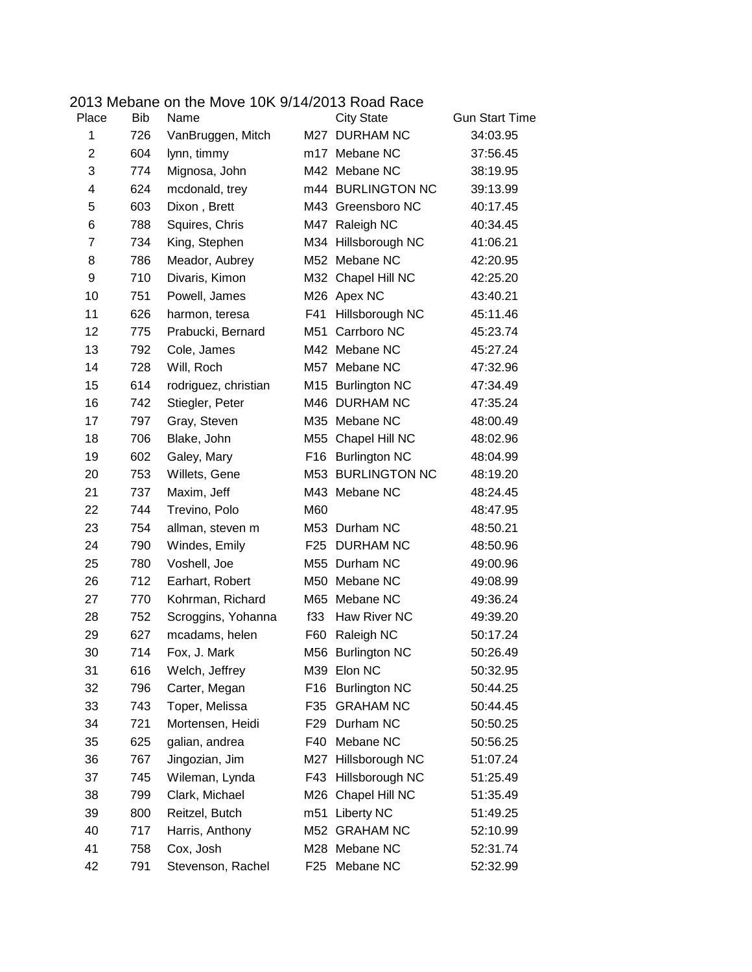|                |            | 2013 Mebane on the Move 10K 9/14/2013 Road Race |     |                      |                       |
|----------------|------------|-------------------------------------------------|-----|----------------------|-----------------------|
| Place          | <b>Bib</b> | Name                                            |     | <b>City State</b>    | <b>Gun Start Time</b> |
| 1              | 726        | VanBruggen, Mitch                               |     | M27 DURHAM NC        | 34:03.95              |
| $\overline{2}$ | 604        | lynn, timmy                                     |     | m17 Mebane NC        | 37:56.45              |
| 3              | 774        | Mignosa, John                                   |     | M42 Mebane NC        | 38:19.95              |
| 4              | 624        | mcdonald, trey                                  |     | m44 BURLINGTON NC    | 39:13.99              |
| 5              | 603        | Dixon, Brett                                    |     | M43 Greensboro NC    | 40:17.45              |
| 6              | 788        | Squires, Chris                                  | M47 | Raleigh NC           | 40:34.45              |
| $\overline{7}$ | 734        | King, Stephen                                   |     | M34 Hillsborough NC  | 41:06.21              |
| 8              | 786        | Meador, Aubrey                                  |     | M52 Mebane NC        | 42:20.95              |
| 9              | 710        | Divaris, Kimon                                  |     | M32 Chapel Hill NC   | 42:25.20              |
| 10             | 751        | Powell, James                                   |     | M26 Apex NC          | 43:40.21              |
| 11             | 626        | harmon, teresa                                  | F41 | Hillsborough NC      | 45:11.46              |
| 12             | 775        | Prabucki, Bernard                               | M51 | Carrboro NC          | 45:23.74              |
| 13             | 792        | Cole, James                                     |     | M42 Mebane NC        | 45:27.24              |
| 14             | 728        | Will, Roch                                      | M57 | Mebane NC            | 47:32.96              |
| 15             | 614        | rodriguez, christian                            |     | M15 Burlington NC    | 47:34.49              |
| 16             | 742        | Stiegler, Peter                                 |     | M46 DURHAM NC        | 47:35.24              |
| 17             | 797        | Gray, Steven                                    |     | M35 Mebane NC        | 48:00.49              |
| 18             | 706        | Blake, John                                     | M55 | Chapel Hill NC       | 48:02.96              |
| 19             | 602        | Galey, Mary                                     | F16 | <b>Burlington NC</b> | 48:04.99              |
| 20             | 753        | Willets, Gene                                   |     | M53 BURLINGTON NC    | 48:19.20              |
| 21             | 737        | Maxim, Jeff                                     |     | M43 Mebane NC        | 48:24.45              |
| 22             | 744        | Trevino, Polo                                   | M60 |                      | 48:47.95              |
| 23             | 754        | allman, steven m                                |     | M53 Durham NC        | 48:50.21              |
| 24             | 790        | Windes, Emily                                   |     | F25 DURHAM NC        | 48:50.96              |
| 25             | 780        | Voshell, Joe                                    |     | M55 Durham NC        | 49:00.96              |
| 26             | 712        | Earhart, Robert                                 |     | M50 Mebane NC        | 49:08.99              |
| 27             | 770        | Kohrman, Richard                                |     | M65 Mebane NC        | 49:36.24              |
| 28             | 752        | Scroggins, Yohanna                              | f33 | Haw River NC         | 49:39.20              |
| 29             | 627        | mcadams, helen                                  | F60 | Raleigh NC           | 50:17.24              |
| 30             | 714        | Fox, J. Mark                                    |     | M56 Burlington NC    | 50:26.49              |
| 31             | 616        | Welch, Jeffrey                                  | M39 | Elon NC              | 50:32.95              |
| 32             | 796        | Carter, Megan                                   | F16 | <b>Burlington NC</b> | 50:44.25              |
| 33             | 743        | Toper, Melissa                                  | F35 | <b>GRAHAM NC</b>     | 50:44.45              |
| 34             | 721        | Mortensen, Heidi                                | F29 | Durham NC            | 50:50.25              |
| 35             | 625        | galian, andrea                                  | F40 | Mebane NC            | 50:56.25              |
| 36             | 767        | Jingozian, Jim                                  |     | M27 Hillsborough NC  | 51:07.24              |
| 37             | 745        | Wileman, Lynda                                  | F43 | Hillsborough NC      | 51:25.49              |
| 38             | 799        | Clark, Michael                                  | M26 | Chapel Hill NC       | 51:35.49              |
| 39             | 800        | Reitzel, Butch                                  |     | m51 Liberty NC       | 51:49.25              |
| 40             | 717        | Harris, Anthony                                 | M52 | <b>GRAHAM NC</b>     | 52:10.99              |
| 41             | 758        | Cox, Josh                                       |     | M28 Mebane NC        | 52:31.74              |
| 42             | 791        | Stevenson, Rachel                               |     | F25 Mebane NC        | 52:32.99              |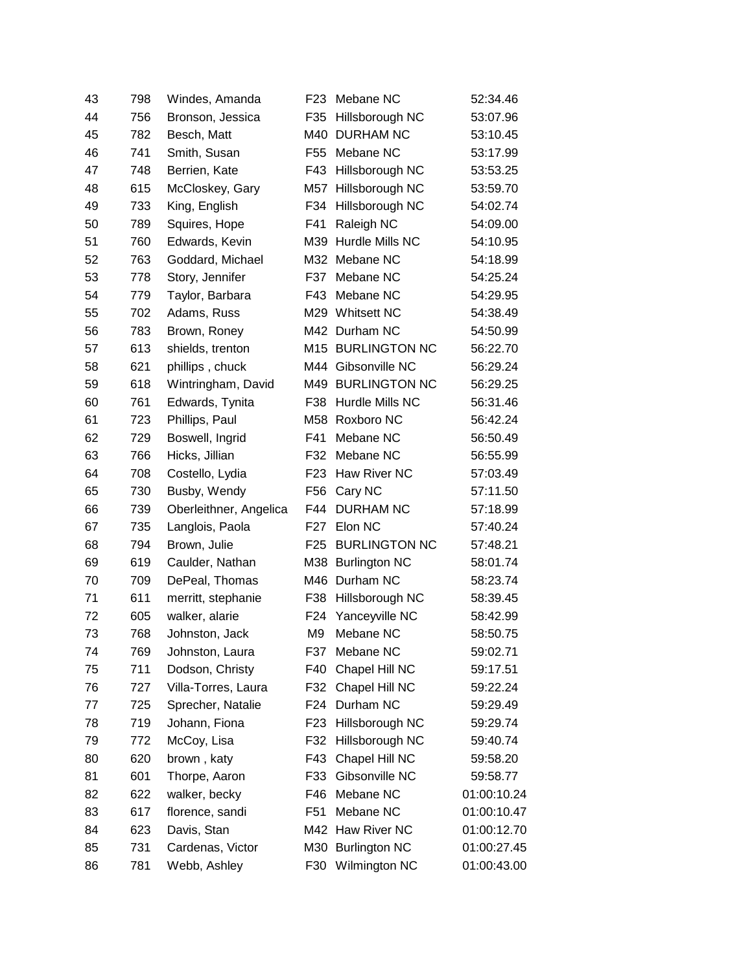| 43 | 798 | Windes, Amanda         | F <sub>23</sub> | Mebane NC            | 52:34.46    |
|----|-----|------------------------|-----------------|----------------------|-------------|
| 44 | 756 | Bronson, Jessica       | F35             | Hillsborough NC      | 53:07.96    |
| 45 | 782 | Besch, Matt            | M40             | <b>DURHAM NC</b>     | 53:10.45    |
| 46 | 741 | Smith, Susan           | F <sub>55</sub> | Mebane NC            | 53:17.99    |
| 47 | 748 | Berrien, Kate          | F43             | Hillsborough NC      | 53:53.25    |
| 48 | 615 | McCloskey, Gary        | M57             | Hillsborough NC      | 53:59.70    |
| 49 | 733 | King, English          | F34             | Hillsborough NC      | 54:02.74    |
| 50 | 789 | Squires, Hope          | F41             | Raleigh NC           | 54:09.00    |
| 51 | 760 | Edwards, Kevin         | M39             | Hurdle Mills NC      | 54:10.95    |
| 52 | 763 | Goddard, Michael       |                 | M32 Mebane NC        | 54:18.99    |
| 53 | 778 | Story, Jennifer        | F37             | Mebane NC            | 54:25.24    |
| 54 | 779 | Taylor, Barbara        | F43             | Mebane NC            | 54:29.95    |
| 55 | 702 | Adams, Russ            | M29             | <b>Whitsett NC</b>   | 54:38.49    |
| 56 | 783 | Brown, Roney           |                 | M42 Durham NC        | 54:50.99    |
| 57 | 613 | shields, trenton       |                 | M15 BURLINGTON NC    | 56:22.70    |
| 58 | 621 | phillips, chuck        | M44             | Gibsonville NC       | 56:29.24    |
| 59 | 618 | Wintringham, David     |                 | M49 BURLINGTON NC    | 56:29.25    |
| 60 | 761 | Edwards, Tynita        | F38             | Hurdle Mills NC      | 56:31.46    |
| 61 | 723 | Phillips, Paul         |                 | M58 Roxboro NC       | 56:42.24    |
| 62 | 729 | Boswell, Ingrid        | F41             | Mebane NC            | 56:50.49    |
| 63 | 766 | Hicks, Jillian         | F32             | Mebane NC            | 56:55.99    |
| 64 | 708 | Costello, Lydia        | F23             | Haw River NC         | 57:03.49    |
| 65 | 730 | Busby, Wendy           | F56             | Cary NC              | 57:11.50    |
| 66 | 739 | Oberleithner, Angelica | F44             | <b>DURHAM NC</b>     | 57:18.99    |
| 67 | 735 | Langlois, Paola        | F27             | Elon NC              | 57:40.24    |
| 68 | 794 | Brown, Julie           | F <sub>25</sub> | <b>BURLINGTON NC</b> | 57:48.21    |
| 69 | 619 | Caulder, Nathan        | M38             | <b>Burlington NC</b> | 58:01.74    |
| 70 | 709 | DePeal, Thomas         | M46             | Durham NC            | 58:23.74    |
| 71 | 611 | merritt, stephanie     | F38             | Hillsborough NC      | 58:39.45    |
| 72 | 605 | walker, alarie         | F <sub>24</sub> | Yanceyville NC       | 58:42.99    |
| 73 | 768 | Johnston, Jack         | M <sub>9</sub>  | Mebane NC            | 58:50.75    |
| 74 | 769 | Johnston, Laura        | F37             | Mebane NC            | 59:02.71    |
| 75 | 711 | Dodson, Christy        | F40             | Chapel Hill NC       | 59:17.51    |
| 76 | 727 | Villa-Torres, Laura    | F32             | Chapel Hill NC       | 59:22.24    |
| 77 | 725 | Sprecher, Natalie      | F24             | Durham NC            | 59:29.49    |
| 78 | 719 | Johann, Fiona          | F <sub>23</sub> | Hillsborough NC      | 59:29.74    |
| 79 | 772 | McCoy, Lisa            | F32             | Hillsborough NC      | 59:40.74    |
| 80 | 620 | brown, katy            | F43             | Chapel Hill NC       | 59:58.20    |
| 81 | 601 | Thorpe, Aaron          | F33             | Gibsonville NC       | 59:58.77    |
| 82 | 622 | walker, becky          | F46             | Mebane NC            | 01:00:10.24 |
| 83 | 617 | florence, sandi        | F <sub>51</sub> | Mebane NC            | 01:00:10.47 |
| 84 | 623 | Davis, Stan            |                 | M42 Haw River NC     | 01:00:12.70 |
| 85 | 731 | Cardenas, Victor       |                 | M30 Burlington NC    | 01:00:27.45 |
| 86 | 781 | Webb, Ashley           | F30             | Wilmington NC        | 01:00:43.00 |